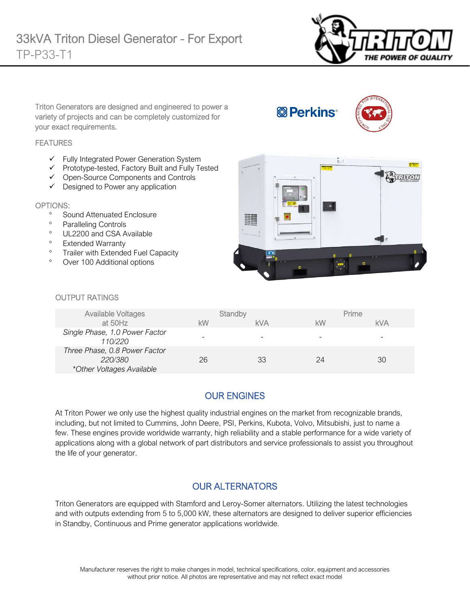

Triton Generators are designed and engineered to power a variety of projects and can be completely customized for your exact requirements.

#### **FEATURES**

- ✓ Fully Integrated Power Generation System
- ✓ Prototype-tested, Factory Built and Fully Tested
- ✓ Open-Source Components and Controls
- ✓ Designed to Power any application

#### OPTIONS:

- <sup>o</sup> Sound Attenuated Enclosure
- Paralleling Controls
- <sup>o</sup> UL2200 and CSA Available
- <sup>o</sup> Extended Warranty
- <sup>o</sup> Trailer with Extended Fuel Capacity
- Over 100 Additional options



**& Perkins** 

#### OUTPUT RATINGS

| <b>Available Voltages</b>      |    | Standby    |    | Prime      |
|--------------------------------|----|------------|----|------------|
| at 50Hz                        | kW | <b>kVA</b> | kW | <b>kVA</b> |
| Single Phase, 1.0 Power Factor | -  |            |    |            |
| 110/220                        |    |            |    |            |
| Three Phase, 0.8 Power Factor  |    |            |    |            |
| 220/380                        | 26 | 33         | 24 | 30         |
| *Other Voltages Available      |    |            |    |            |

## OUR ENGINES

At Triton Power we only use the highest quality industrial engines on the market from recognizable brands, including, but not limited to Cummins, John Deere, PSI, Perkins, Kubota, Volvo, Mitsubishi, just to name a few. These engines provide worldwide warranty, high reliability and a stable performance for a wide variety of applications along with a global network of part distributors and service professionals to assist you throughout the life of your generator.

### OUR ALTERNATORS

Triton Generators are equipped with Stamford and Leroy-Somer alternators. Utilizing the latest technologies and with outputs extending from 5 to 5,000 kW, these alternators are designed to deliver superior efficiencies in Standby, Continuous and Prime generator applications worldwide.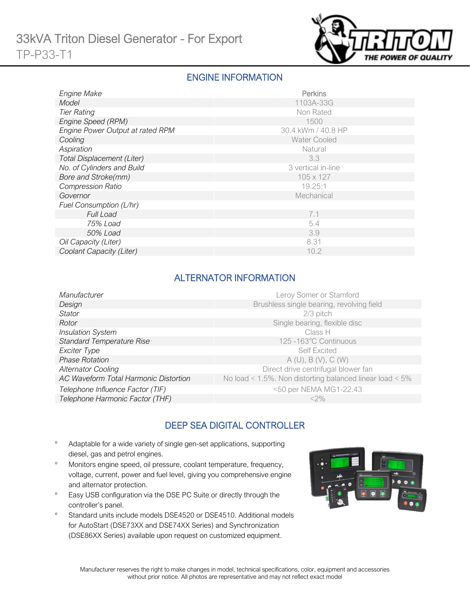

### ENGINE INFORMATION

| Engine Make                      | Perkins             |
|----------------------------------|---------------------|
| Model                            | 1103A-33G           |
| <b>Tier Rating</b>               | Non Rated           |
| Engine Speed (RPM)               | 1500                |
| Engine Power Output at rated RPM | 30.4 kWm / 40.8 HP  |
| Cooling                          | <b>Water Cooled</b> |
| Aspiration                       | Natural             |
| Total Displacement (Liter)       | 3.3                 |
| No. of Cylinders and Build       | 3 vertical in-line  |
| Bore and Stroke(mm)              | 105 x 127           |
| <b>Compression Ratio</b>         | 19.25:1             |
| Governor                         | Mechanical          |
| Fuel Consumption (L/hr)          |                     |
| <b>Full Load</b>                 | 7.1                 |
| 75% Load                         | 5.4                 |
| 50% Load                         | 3.9                 |
| Oil Capacity (Liter)             | 8.31                |
| Coolant Capacity (Liter)         | 10.2                |

# ALTERNATOR INFORMATION

| Manufacturer                          | Leroy Somer or Stamford                                         |
|---------------------------------------|-----------------------------------------------------------------|
| Design                                | Brushless single bearing, revolving field                       |
| Stator                                | $2/3$ pitch                                                     |
| Rotor                                 | Single bearing, flexible disc                                   |
| <b>Insulation System</b>              | Class H                                                         |
| <b>Standard Temperature Rise</b>      | 125 -163°C Continuous                                           |
| Exciter Type                          | <b>Self Excited</b>                                             |
| <b>Phase Rotation</b>                 | A(U), B(V), C(W)                                                |
| <b>Alternator Cooling</b>             | Direct drive centrifugal blower fan                             |
| AC Waveform Total Harmonic Distortion | No load < $1.5\%$ . Non distorting balanced linear load < $5\%$ |
| Telephone Influence Factor (TIF)      | <50 per NEMA MG1-22.43                                          |
| Telephone Harmonic Factor (THF)       | $<$ 2%                                                          |
|                                       |                                                                 |

# DEEP SEA DIGITAL CONTROLLER

- Adaptable for a wide variety of single gen-set applications, supporting diesel, gas and petrol engines.
- Monitors engine speed, oil pressure, coolant temperature, frequency, voltage, current, power and fuel level, giving you comprehensive engine and alternator protection.
- <sup>o</sup> Easy USB configuration via the DSE PC Suite or directly through the controller's panel.
- <sup>o</sup> Standard units include models DSE4520 or DSE4510. Additional models for AutoStart (DSE73XX and DSE74XX Series) and Synchronization (DSE86XX Series) available upon request on customized equipment.

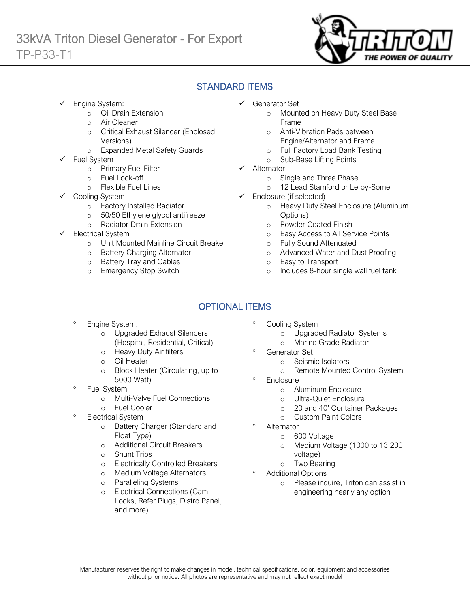

# STANDARD ITEMS

Engine System:

Ī

- o Oil Drain Extension
- o Air Cleaner
- o Critical Exhaust Silencer (Enclosed Versions)
- o Expanded Metal Safety Guards
- Fuel System
	- o Primary Fuel Filter
	- o Fuel Lock-off
		- o Flexible Fuel Lines
	- Cooling System
		- o Factory Installed Radiator
		- o 50/50 Ethylene glycol antifreeze
		- o Radiator Drain Extension
- Electrical System
	- o Unit Mounted Mainline Circuit Breaker
	- o Battery Charging Alternator
	- o Battery Tray and Cables
	- o Emergency Stop Switch
- ✓ Generator Set
	- o Mounted on Heavy Duty Steel Base Frame
	- o Anti-Vibration Pads between Engine/Alternator and Frame
	- o Full Factory Load Bank Testing
	- o Sub-Base Lifting Points
- ✓ Alternator
	- o Single and Three Phase
	- o 12 Lead Stamford or Leroy-Somer
- $\checkmark$  Enclosure (if selected)
	- o Heavy Duty Steel Enclosure (Aluminum Options)
	- o Powder Coated Finish
	- o Easy Access to All Service Points
	- o Fully Sound Attenuated
	- o Advanced Water and Dust Proofing
	- o Easy to Transport
	- o Includes 8-hour single wall fuel tank

# OPTIONAL ITEMS

- Engine System:
	- o Upgraded Exhaust Silencers (Hospital, Residential, Critical)
	- o Heavy Duty Air filters
	- o Oil Heater
	- o Block Heater (Circulating, up to 5000 Watt)
- Fuel System
	- o Multi-Valve Fuel Connections
	- o Fuel Cooler
- Electrical System
	- o Battery Charger (Standard and Float Type)
	- o Additional Circuit Breakers
	- o Shunt Trips
	- o Electrically Controlled Breakers
	- o Medium Voltage Alternators
	- o Paralleling Systems
	- o Electrical Connections (Cam-Locks, Refer Plugs, Distro Panel, and more)
- Cooling System
	- o Upgraded Radiator Systems
	- o Marine Grade Radiator
	- Generator Set
		- o Seismic Isolators
		- o Remote Mounted Control System
- **Enclosure** 
	- o Aluminum Enclosure
	- o Ultra-Quiet Enclosure
	- o 20 and 40' Container Packages
	- o Custom Paint Colors
- Alternator
	- o 600 Voltage
	- o Medium Voltage (1000 to 13,200 voltage)
	- o Two Bearing
- Additional Options
	- o Please inquire, Triton can assist in engineering nearly any option